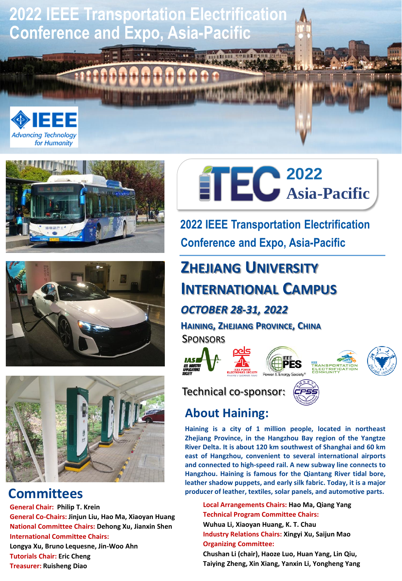**2022 IEEE Transportation Electrification Conference and Expo, Asia-Pacific**









**Committees**

**General Chair: Philip T. Krein General Co-Chairs: Jinjun Liu, Hao Ma, Xiaoyan Huang National Committee Chairs: Dehong Xu, Jianxin Shen International Committee Chairs: Longya Xu, Bruno Lequesne, Jin-Woo Ahn Tutorials Chair: Eric Cheng Treasurer: Ruisheng Diao**

**2020 Asia-Pacific 2022 Asia-Pacific**

**2022 IEEE Transportation Electrification Conference and Expo, Asia-Pacific**

# **ZHEJIANG UNIVERSITY INTERNATIONAL CAMPUS**

#### *OCTOBER 28-31, 2022*

#### **HAINING, ZHEJIANG PROVINCE, CHINA**



Technical co-sponsor:

#### **About Haining:**

**Haining is a city of 1 million people, located in northeast Zhejiang Province, in the Hangzhou Bay region of the Yangtze River Delta. It is about 120 km southwest of Shanghai and 60 km east of Hangzhou, convenient to several international airports and connected to high-speed rail. A new subway line connects to Hangzhou. Haining is famous for the Qiantang River tidal bore, leather shadow puppets, and early silk fabric. Today, it is a major producer of leather, textiles, solar panels, and automotive parts.**

**Local Arrangements Chairs: Hao Ma, Qiang Yang Technical Program Committee Chairs: Wuhua Li, Xiaoyan Huang, K. T. Chau Industry Relations Chairs: Xingyi Xu, Saijun Mao Organizing Committee:**

**Chushan Li (chair), Haoze Luo, Huan Yang, Lin Qiu, Taiying Zheng, Xin Xiang, Yanxin Li, Yongheng Yang**